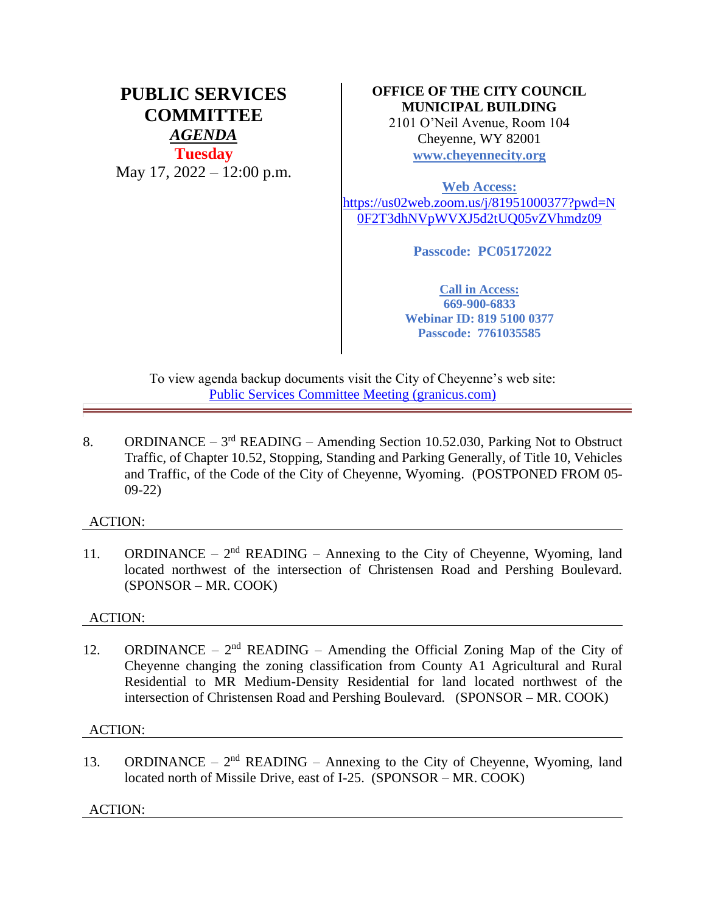# **PUBLIC SERVICES COMMITTEE** *AGENDA* **Tuesday** May 17, 2022 – 12:00 p.m.

## **OFFICE OF THE CITY COUNCIL MUNICIPAL BUILDING**

2101 O'Neil Avenue, Room 104 Cheyenne, WY 82001 **[www.cheyennecity.org](http://www.cheyennecity.org/)**

**Web Access:**  [https://us02web.zoom.us/j/81951000377?pwd=N](https://us02web.zoom.us/j/81951000377?pwd=N0F2T3dhNVpWVXJ5d2tUQ05vZVhmdz09) [0F2T3dhNVpWVXJ5d2tUQ05vZVhmdz09](https://us02web.zoom.us/j/81951000377?pwd=N0F2T3dhNVpWVXJ5d2tUQ05vZVhmdz09)

**Passcode: PC05172022**

**Call in Access: 669-900-6833 Webinar ID: 819 5100 0377 Passcode: 7761035585**

To view agenda backup documents visit the City of Cheyenne's web site: [Public Services Committee Meeting \(granicus.com\)](https://cheyenne.granicus.com/GeneratedAgendaViewer.php?event_id=1072)

8. ORDINANCE –  $3<sup>rd</sup>$  READING – Amending Section 10.52.030, Parking Not to Obstruct Traffic, of Chapter 10.52, Stopping, Standing and Parking Generally, of Title 10, Vehicles and Traffic, of the Code of the City of Cheyenne, Wyoming. (POSTPONED FROM 05- 09-22)

## ACTION:

11. ORDINANCE –  $2<sup>nd</sup>$  READING – Annexing to the City of Cheyenne, Wyoming, land located northwest of the intersection of Christensen Road and Pershing Boulevard. (SPONSOR – MR. COOK)

## ACTION:

12. ORDINANCE –  $2<sup>nd</sup>$  READING – Amending the Official Zoning Map of the City of Cheyenne changing the zoning classification from County A1 Agricultural and Rural Residential to MR Medium-Density Residential for land located northwest of the intersection of Christensen Road and Pershing Boulevard. (SPONSOR – MR. COOK)

## ACTION:

13. ORDINANCE –  $2<sup>nd</sup>$  READING – Annexing to the City of Cheyenne, Wyoming, land located north of Missile Drive, east of I-25. (SPONSOR – MR. COOK)

ACTION: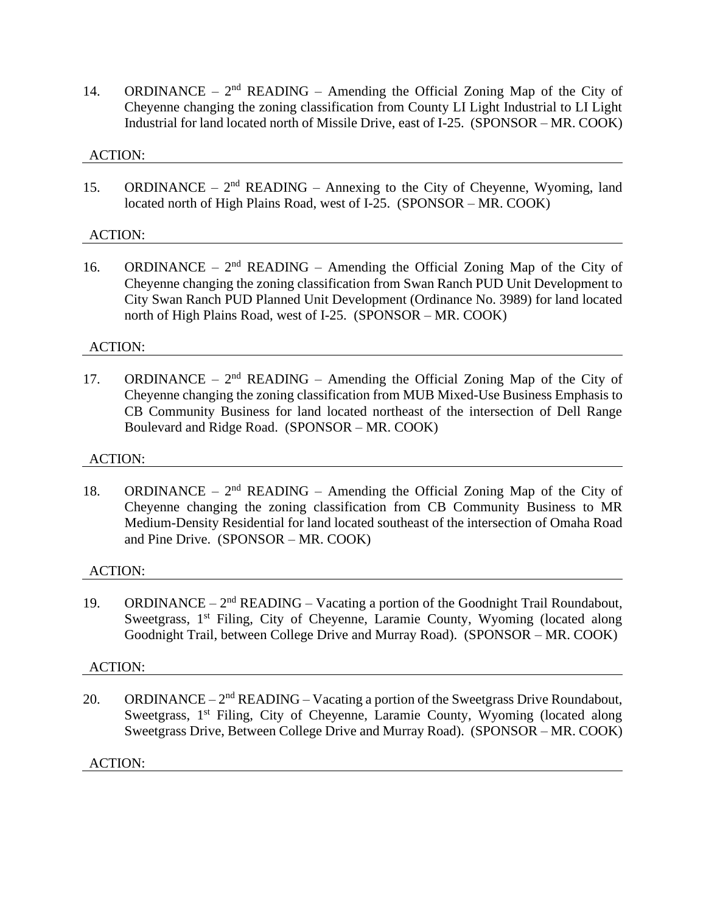14. ORDINANCE –  $2<sup>nd</sup>$  READING – Amending the Official Zoning Map of the City of Cheyenne changing the zoning classification from County LI Light Industrial to LI Light Industrial for land located north of Missile Drive, east of I-25. (SPONSOR – MR. COOK)

#### ACTION:

15. ORDINANCE –  $2<sup>nd</sup>$  READING – Annexing to the City of Cheyenne, Wyoming, land located north of High Plains Road, west of I-25. (SPONSOR – MR. COOK)

## ACTION:

16. ORDINANCE –  $2<sup>nd</sup>$  READING – Amending the Official Zoning Map of the City of Cheyenne changing the zoning classification from Swan Ranch PUD Unit Development to City Swan Ranch PUD Planned Unit Development (Ordinance No. 3989) for land located north of High Plains Road, west of I-25. (SPONSOR – MR. COOK)

#### ACTION:

17. ORDINANCE –  $2<sup>nd</sup>$  READING – Amending the Official Zoning Map of the City of Cheyenne changing the zoning classification from MUB Mixed-Use Business Emphasis to CB Community Business for land located northeast of the intersection of Dell Range Boulevard and Ridge Road. (SPONSOR – MR. COOK)

#### ACTION:

18. ORDINANCE –  $2<sup>nd</sup>$  READING – Amending the Official Zoning Map of the City of Cheyenne changing the zoning classification from CB Community Business to MR Medium-Density Residential for land located southeast of the intersection of Omaha Road and Pine Drive. (SPONSOR – MR. COOK)

#### ACTION:

19. ORDINANCE –  $2<sup>nd</sup>$  READING – Vacating a portion of the Goodnight Trail Roundabout, Sweetgrass, 1<sup>st</sup> Filing, City of Cheyenne, Laramie County, Wyoming (located along Goodnight Trail, between College Drive and Murray Road). (SPONSOR – MR. COOK)

## ACTION:

20. ORDINANCE –  $2<sup>nd</sup>$  READING – Vacating a portion of the Sweetgrass Drive Roundabout, Sweetgrass, 1<sup>st</sup> Filing, City of Cheyenne, Laramie County, Wyoming (located along Sweetgrass Drive, Between College Drive and Murray Road). (SPONSOR – MR. COOK)

#### ACTION: